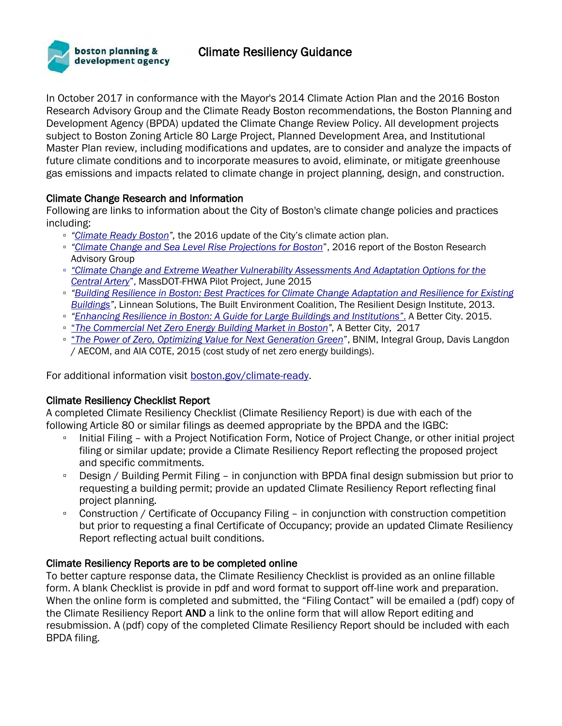# Climate Resiliency Guidance



In October 2017 in conformance with the Mayor's 2014 Climate Action Plan and the 2016 Boston Research Advisory Group and the Climate Ready Boston recommendations, the Boston Planning and Development Agency (BPDA) updated the Climate Change Review Policy. All development projects subject to Boston Zoning Article 80 Large Project, Planned Development Area, and Institutional Master Plan review, including modifications and updates, are to consider and analyze the impacts of future climate conditions and to incorporate measures to avoid, eliminate, or mitigate greenhouse gas emissions and impacts related to climate change in project planning, design, and construction.

## Climate Change Research and Information

Following are links to information about the City of Boston's climate change policies and practices including:

- *"[Climate Ready Boston](https://www.boston.gov/sites/default/files/20161207_climate_ready_boston_digital2.pdf)",* the 2016 update of the City's climate action plan.
- *"[Climate Change and Sea Level Rise Projections for Boston](https://www.boston.gov/sites/default/files/document-file-12-2016/brag_report_-_final.pdf)*", 2016 report of the Boston Research Advisory Group
- *"Climate Change and Extreme Weather Vulnerability Assessments And Adaptation Options for the Central Artery*", MassDOT-FHWA Pilot Project, June 2015
- *"[Building Resilience in Boston: Best Practices for Climate Change Adaptation and Resilience for Existing](http://www.greenribboncommission.org/downloads/Building_Resilience_in_Boston_SML.pdf)  [Buildings](http://www.greenribboncommission.org/downloads/Building_Resilience_in_Boston_SML.pdf)"*, Linnean Solutions, The Built Environment Coalition, The Resilient Design Institute, 2013.
- *["Enhancing Resilience in Boston: A Guide for Large Buildings and Institutions"](http://abettercity.org/docs-new/resiliency%20report%20web%20FINAL.pdf)*[.](http://abettercity.org/docs-new/resiliency%20report%20web%20FINAL.pdf) A Better City. 2015.
- "*The Commercial Net Zero Energy Building Market in Boston",* A Better City, 2017
- "*The Power of Zero, Optimizing Value for Next Generation Green*", BNIM, Integral Group, Davis Langdon / AECOM, and AIA COTE, 2015 (cost study of net zero energy buildings).

For additional information visit [boston.gov/climate-ready.](about:blank)

## Climate Resiliency Checklist Report

A completed Climate Resiliency Checklist (Climate Resiliency Report) is due with each of the following Article 80 or similar filings as deemed appropriate by the BPDA and the IGBC:

- Initial Filing with a Project Notification Form, Notice of Project Change, or other initial project filing or similar update; provide a Climate Resiliency Report reflecting the proposed project and specific commitments.
- Design / Building Permit Filing in conjunction with BPDA final design submission but prior to requesting a building permit; provide an updated Climate Resiliency Report reflecting final project planning.
- Construction / Certificate of Occupancy Filing in conjunction with construction competition but prior to requesting a final Certificate of Occupancy; provide an updated Climate Resiliency Report reflecting actual built conditions.

## Climate Resiliency Reports are to be completed online

To better capture response data, the Climate Resiliency Checklist is provided as an online fillable form. A blank Checklist is provide in pdf and word format to support off-line work and preparation. When the online form is completed and submitted, the "Filing Contact" will be emailed a (pdf) copy of the Climate Resiliency Report AND a link to the online form that will allow Report editing and resubmission. A (pdf) copy of the completed Climate Resiliency Report should be included with each BPDA filing.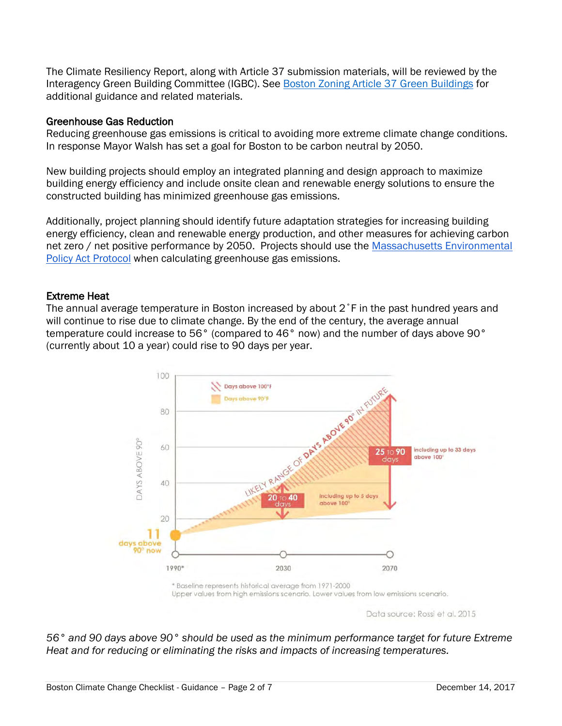The Climate Resiliency Report, along with Article 37 submission materials, will be reviewed by the Interagency Green Building Committee (IGBC). See [Boston Zoning Article 37 Green Buildings](http://www.bostonplans.org/planning/planning-initiatives/article-37-green-building-guidelines) for additional guidance and related materials.

## Greenhouse Gas Reduction

Reducing greenhouse gas emissions is critical to avoiding more extreme climate change conditions. In response Mayor Walsh has set a goal for Boston to be carbon neutral by 2050.

New building projects should employ an integrated planning and design approach to maximize building energy efficiency and include onsite clean and renewable energy solutions to ensure the constructed building has minimized greenhouse gas emissions.

Additionally, project planning should identify future adaptation strategies for increasing building energy efficiency, clean and renewable energy production, and other measures for achieving carbon net zero / net positive performance by 2050. Projects should use the [Massachusetts Environmental](http://www.mass.gov/eea/agencies/mepa/greenhouse-gas-emissions-policy-and-protocol-generic.html)  [Policy Act P](http://www.mass.gov/eea/agencies/mepa/greenhouse-gas-emissions-policy-and-protocol-generic.html)rotocol when calculating greenhouse gas emissions.

## Extreme Heat

The annual average temperature in Boston increased by about 2˚F in the past hundred years and will continue to rise due to climate change. By the end of the century, the average annual temperature could increase to 56° (compared to 46° now) and the number of days above 90° (currently about 10 a year) could rise to 90 days per year.



Data source: Rossi et al. 2015

*56° and 90 days above 90° should be used as the minimum performance target for future Extreme Heat and for reducing or eliminating the risks and impacts of increasing temperatures.*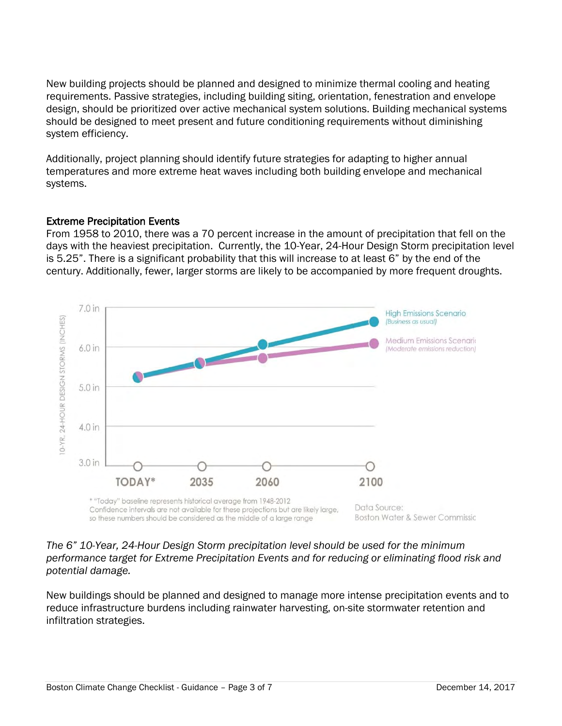New building projects should be planned and designed to minimize thermal cooling and heating requirements. Passive strategies, including building siting, orientation, fenestration and envelope design, should be prioritized over active mechanical system solutions. Building mechanical systems should be designed to meet present and future conditioning requirements without diminishing system efficiency.

Additionally, project planning should identify future strategies for adapting to higher annual temperatures and more extreme heat waves including both building envelope and mechanical systems.

## Extreme Precipitation Events

From 1958 to 2010, there was a 70 percent increase in the amount of precipitation that fell on the days with the heaviest precipitation. Currently, the 10-Year, 24-Hour Design Storm precipitation level is 5.25". There is a significant probability that this will increase to at least 6" by the end of the century. Additionally, fewer, larger storms are likely to be accompanied by more frequent droughts.



## *The 6" 10-Year, 24-Hour Design Storm precipitation level should be used for the minimum performance target for Extreme Precipitation Events and for reducing or eliminating flood risk and potential damage.*

New buildings should be planned and designed to manage more intense precipitation events and to reduce infrastructure burdens including rainwater harvesting, on-site stormwater retention and infiltration strategies.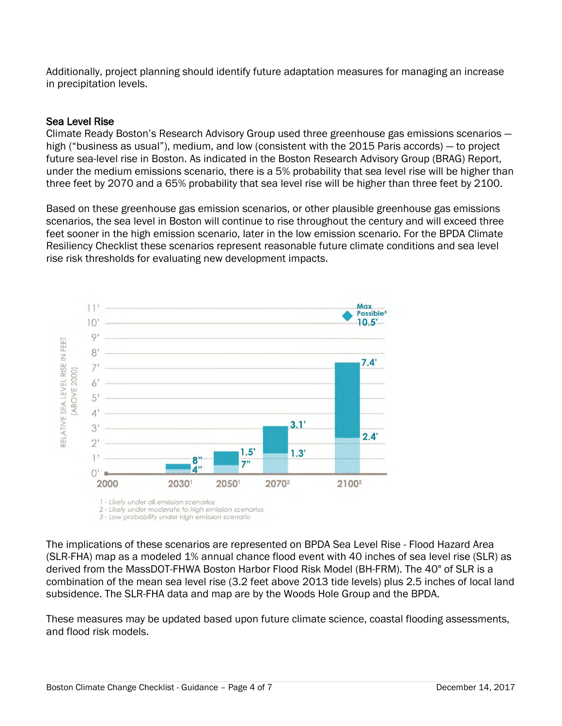Additionally, project planning should identify future adaptation measures for managing an increase in precipitation levels.

## Sea Level Rise

Climate Ready Boston's Research Advisory Group used three greenhouse gas emissions scenarios high ("business as usual"), medium, and low (consistent with the 2015 Paris accords) — to project future sea-level rise in Boston. As indicated in the Boston Research Advisory Group (BRAG) Report, under the medium emissions scenario, there is a 5% probability that sea level rise will be higher than three feet by 2070 and a 65% probability that sea level rise will be higher than three feet by 2100.

Based on these greenhouse gas emission scenarios, or other plausible greenhouse gas emissions scenarios, the sea level in Boston will continue to rise throughout the century and will exceed three feet sooner in the high emission scenario, later in the low emission scenario. For the BPDA Climate Resiliency Checklist these scenarios represent reasonable future climate conditions and sea level rise risk thresholds for evaluating new development impacts.



The implications of these scenarios are represented on BPDA Sea Level Rise - Flood Hazard Area (SLR-FHA) map as a modeled 1% annual chance flood event with 40 inches of sea level rise (SLR) as derived from the MassDOT-FHWA Boston Harbor Flood Risk Model (BH-FRM). The 40" of SLR is a combination of the mean sea level rise (3.2 feet above 2013 tide levels) plus 2.5 inches of local land subsidence. The SLR-FHA data and map are by the Woods Hole Group and the BPDA.

These measures may be updated based upon future climate science, coastal flooding assessments, and flood risk models.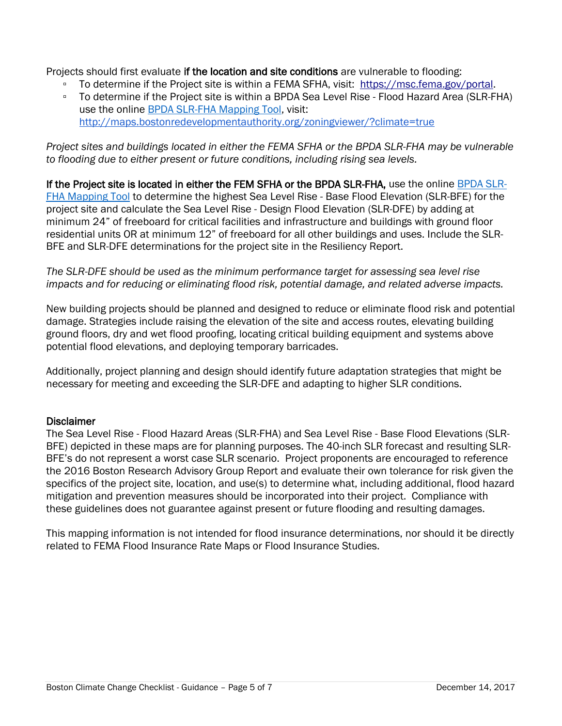Projects should first evaluate if the location and site conditions are vulnerable to flooding:

- To determine if the Project site is within a FEMA SFHA, visit: [https://msc.fema.gov/portal.](https://msc.fema.gov/portal)
- To determine if the Project site is within a BPDA Sea Level Rise Flood Hazard Area (SLR-FHA) use the online [BPDA SLR-FHA Mapping Tool,](http://maps.bostonredevelopmentauthority.org/zoningviewer/?climate=true) visit: <http://maps.bostonredevelopmentauthority.org/zoningviewer/?climate=true>

*Project sites and buildings located in either the FEMA SFHA or the BPDA SLR-FHA may be vulnerable to flooding due to either present or future conditions, including rising sea levels.* 

If the Project site is located in either the FEM SFHA or the BPDA SLR-FHA, use the online [BPDA SLR-](http://maps.bostonredevelopmentauthority.org/zoningviewer/?climate=true)[FHA Mapping Tool](http://maps.bostonredevelopmentauthority.org/zoningviewer/?climate=true) to determine the highest Sea Level Rise - Base Flood Elevation (SLR-BFE) for the project site and calculate the Sea Level Rise - Design Flood Elevation (SLR-DFE) by adding at minimum 24" of freeboard for critical facilities and infrastructure and buildings with ground floor residential units OR at minimum 12" of freeboard for all other buildings and uses. Include the SLR-BFE and SLR-DFE determinations for the project site in the Resiliency Report.

*The SLR-DFE should be used as the minimum performance target for assessing sea level rise impacts and for reducing or eliminating flood risk, potential damage, and related adverse impacts.* 

New building projects should be planned and designed to reduce or eliminate flood risk and potential damage. Strategies include raising the elevation of the site and access routes, elevating building ground floors, dry and wet flood proofing, locating critical building equipment and systems above potential flood elevations, and deploying temporary barricades.

Additionally, project planning and design should identify future adaptation strategies that might be necessary for meeting and exceeding the SLR-DFE and adapting to higher SLR conditions.

## **Disclaimer**

The Sea Level Rise - Flood Hazard Areas (SLR-FHA) and Sea Level Rise - Base Flood Elevations (SLR-BFE) depicted in these maps are for planning purposes. The 40-inch SLR forecast and resulting SLR-BFE's do not represent a worst case SLR scenario. Project proponents are encouraged to reference the 2016 Boston Research Advisory Group Report and evaluate their own tolerance for risk given the specifics of the project site, location, and use(s) to determine what, including additional, flood hazard mitigation and prevention measures should be incorporated into their project. Compliance with these guidelines does not guarantee against present or future flooding and resulting damages.

This mapping information is not intended for flood insurance determinations, nor should it be directly related to FEMA Flood Insurance Rate Maps or Flood Insurance Studies.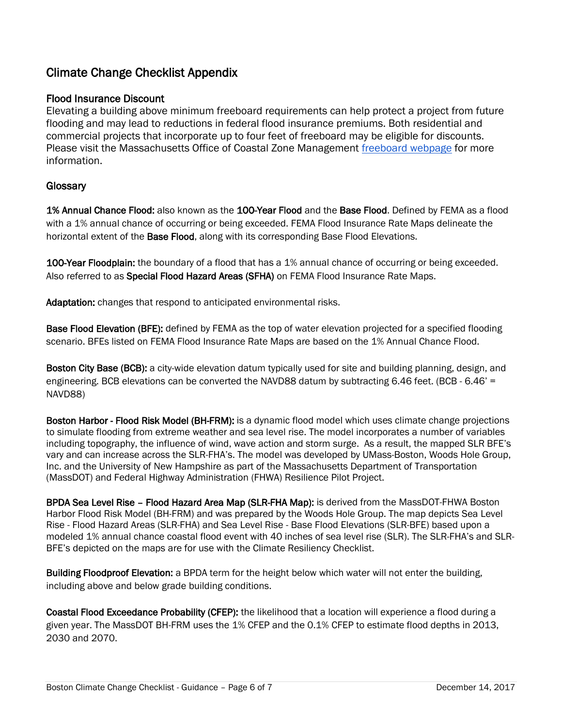# Climate Change Checklist Appendix

## Flood Insurance Discount

Elevating a building above minimum freeboard requirements can help protect a project from future flooding and may lead to reductions in federal flood insurance premiums. Both residential and commercial projects that incorporate up to four feet of freeboard may be eligible for discounts. Please visit the Massachusetts Office of Coastal Zone Management [freeboard webpage](http://www.mass.gov/eea/agencies/czm/program-areas/stormsmart-coasts/stormsmart-communities/stormsmart-mitigate-freeboard.html) for more information.

## **Glossary**

1% Annual Chance Flood: also known as the 100-Year Flood and the Base Flood. Defined by FEMA as a flood with a 1% annual chance of occurring or being exceeded. FEMA Flood Insurance Rate Maps delineate the horizontal extent of the Base Flood, along with its corresponding Base Flood Elevations.

100-Year Floodplain: the boundary of a flood that has a 1% annual chance of occurring or being exceeded. Also referred to as Special Flood Hazard Areas (SFHA) on FEMA Flood Insurance Rate Maps.

Adaptation: changes that respond to anticipated environmental risks.

Base Flood Elevation (BFE): defined by FEMA as the top of water elevation projected for a specified flooding scenario. BFEs listed on FEMA Flood Insurance Rate Maps are based on the 1% Annual Chance Flood.

Boston City Base (BCB): a city-wide elevation datum typically used for site and building planning, design, and engineering. BCB elevations can be converted the NAVD88 datum by subtracting 6.46 feet. (BCB - 6.46' = NAVD88)

Boston Harbor - Flood Risk Model (BH-FRM): is a dynamic flood model which uses climate change projections to simulate flooding from extreme weather and sea level rise. The model incorporates a number of variables including topography, the influence of wind, wave action and storm surge. As a result, the mapped SLR BFE's vary and can increase across the SLR-FHA's. The model was developed by UMass-Boston, Woods Hole Group, Inc. and the University of New Hampshire as part of the Massachusetts Department of Transportation (MassDOT) and Federal Highway Administration (FHWA) Resilience Pilot Project.

BPDA Sea Level Rise – Flood Hazard Area Map (SLR-FHA Map): is derived from the MassDOT-FHWA Boston Harbor Flood Risk Model (BH-FRM) and was prepared by the Woods Hole Group. The map depicts Sea Level Rise - Flood Hazard Areas (SLR-FHA) and Sea Level Rise - Base Flood Elevations (SLR-BFE) based upon a modeled 1% annual chance coastal flood event with 40 inches of sea level rise (SLR). The SLR-FHA's and SLR-BFE's depicted on the maps are for use with the Climate Resiliency Checklist.

Building Floodproof Elevation: a BPDA term for the height below which water will not enter the building, including above and below grade building conditions.

Coastal Flood Exceedance Probability (CFEP): the likelihood that a location will experience a flood during a given year. The MassDOT BH-FRM uses the 1% CFEP and the 0.1% CFEP to estimate flood depths in 2013, 2030 and 2070.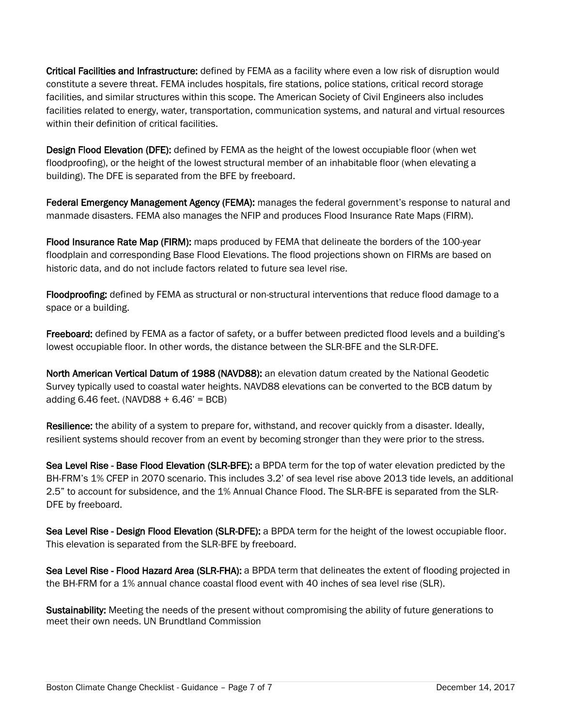Critical Facilities and Infrastructure: defined by FEMA as a facility where even a low risk of disruption would constitute a severe threat. FEMA includes hospitals, fire stations, police stations, critical record storage facilities, and similar structures within this scope. The American Society of Civil Engineers also includes facilities related to energy, water, transportation, communication systems, and natural and virtual resources within their definition of critical facilities.

Design Flood Elevation (DFE): defined by FEMA as the height of the lowest occupiable floor (when wet floodproofing), or the height of the lowest structural member of an inhabitable floor (when elevating a building). The DFE is separated from the BFE by freeboard.

Federal Emergency Management Agency (FEMA): manages the federal government's response to natural and manmade disasters. FEMA also manages the NFIP and produces Flood Insurance Rate Maps (FIRM).

Flood Insurance Rate Map (FIRM): maps produced by FEMA that delineate the borders of the 100-year floodplain and corresponding Base Flood Elevations. The flood projections shown on FIRMs are based on historic data, and do not include factors related to future sea level rise.

Floodproofing: defined by FEMA as structural or non-structural interventions that reduce flood damage to a space or a building.

Freeboard: defined by FEMA as a factor of safety, or a buffer between predicted flood levels and a building's lowest occupiable floor. In other words, the distance between the SLR-BFE and the SLR-DFE.

North American Vertical Datum of 1988 (NAVD88): an elevation datum created by the National Geodetic Survey typically used to coastal water heights. NAVD88 elevations can be converted to the BCB datum by adding  $6.46$  feet. (NAVD88 +  $6.46'$  = BCB)

Resilience: the ability of a system to prepare for, withstand, and recover quickly from a disaster. Ideally, resilient systems should recover from an event by becoming stronger than they were prior to the stress.

Sea Level Rise - Base Flood Elevation (SLR-BFE): a BPDA term for the top of water elevation predicted by the BH-FRM's 1% CFEP in 2070 scenario. This includes 3.2' of sea level rise above 2013 tide levels, an additional 2.5" to account for subsidence, and the 1% Annual Chance Flood. The SLR-BFE is separated from the SLR-DFE by freeboard.

Sea Level Rise - Design Flood Elevation (SLR-DFE): a BPDA term for the height of the lowest occupiable floor. This elevation is separated from the SLR-BFE by freeboard.

Sea Level Rise - Flood Hazard Area (SLR-FHA): a BPDA term that delineates the extent of flooding projected in the BH-FRM for a 1% annual chance coastal flood event with 40 inches of sea level rise (SLR).

Sustainability: Meeting the needs of the present without compromising the ability of future generations to meet their own needs. UN Brundtland Commission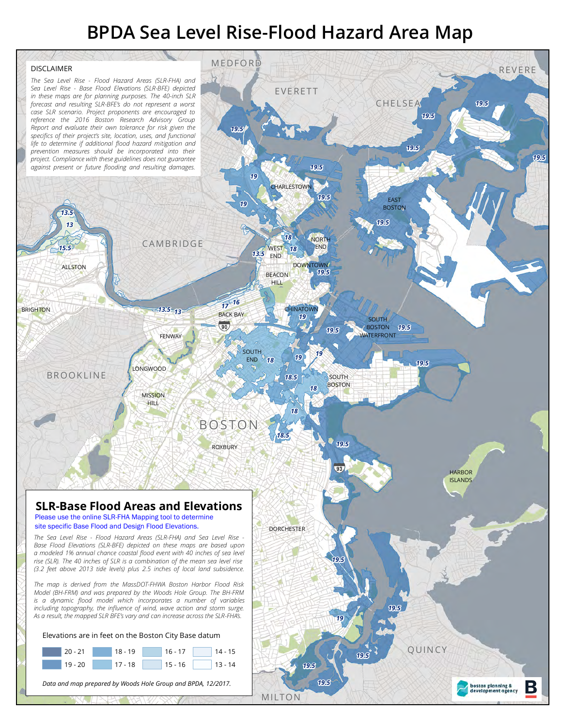# **BPDA Sea Level Rise-Flood Hazard Area Map**

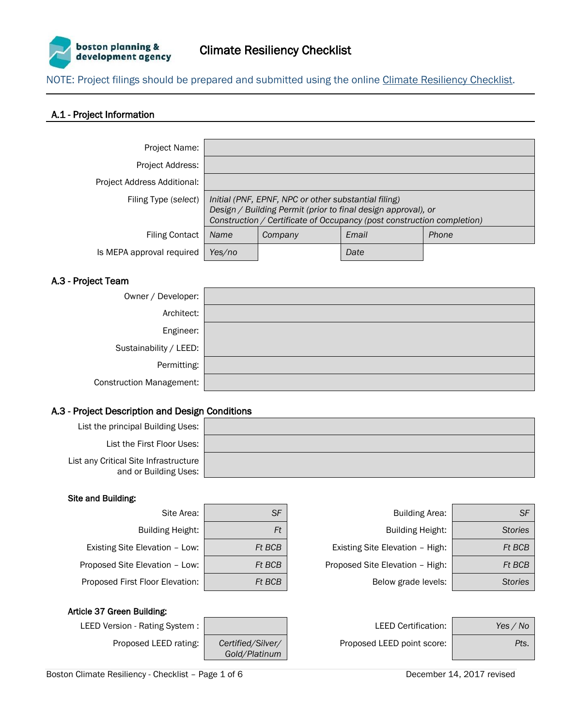

NOTE: Project filings should be prepared and submitted using the online [Climate Resiliency Checklist.](https://docs.google.com/forms/d/e/1FAIpQLSe2QkrOsN821IyzDmhjhK0LUFmz0vOjkQIKwoqPIPju9JooEw/viewform)

### A.1 - Project Information

| Project Name:               |                                                                                                                                                                                                 |         |       |       |
|-----------------------------|-------------------------------------------------------------------------------------------------------------------------------------------------------------------------------------------------|---------|-------|-------|
| Project Address:            |                                                                                                                                                                                                 |         |       |       |
| Project Address Additional: |                                                                                                                                                                                                 |         |       |       |
| Filing Type (select)        | Initial (PNF, EPNF, NPC or other substantial filing)<br>Design / Building Permit (prior to final design approval), or<br>Construction / Certificate of Occupancy (post construction completion) |         |       |       |
| <b>Filing Contact</b>       | <b>Name</b>                                                                                                                                                                                     | Company | Email | Phone |
| Is MEPA approval required   | Yes/no                                                                                                                                                                                          |         | Date  |       |

#### A.3 - Project Team

| Owner / Developer:              |  |
|---------------------------------|--|
| Architect:                      |  |
| Engineer:                       |  |
| Sustainability / LEED:          |  |
| Permitting:                     |  |
| <b>Construction Management:</b> |  |

#### A.3 - Project Description and Design Conditions

| List the principal Building Uses:                              |  |
|----------------------------------------------------------------|--|
| List the First Floor Uses:                                     |  |
| List any Critical Site Infrastructure<br>and or Building Uses: |  |

#### Site and Building:

| Site Area:                   |               |
|------------------------------|---------------|
| <b>Building Height:</b>      |               |
| sting Site Elevation - Low:  | <b>Ft BCI</b> |
| osed Site Elevation - Low:   | <b>Ft BCI</b> |
| bosed First Floor Elevation: | Ft BCI        |

| Site Area:                      | <b>SF</b> | Building Area:                  | <b>SF</b>      |
|---------------------------------|-----------|---------------------------------|----------------|
| <b>Building Height:</b>         | Ft        | <b>Building Height:</b>         | <b>Stories</b> |
| Existing Site Elevation - Low:  | Ft BCB    | Existing Site Elevation - High: | <b>Ft BCB</b>  |
| Proposed Site Elevation - Low:  | Ft BCB    | Proposed Site Elevation - High: | <b>Ft BCB</b>  |
| Proposed First Floor Elevation: | Ft BCB    | Below grade levels:             | <b>Stories</b> |
|                                 |           |                                 |                |

#### Article 37 Green Building:



| LEED Version - Rating System : |                                                                        | <b>LEED Certification:</b> | Yes / No |
|--------------------------------|------------------------------------------------------------------------|----------------------------|----------|
| Proposed LEED rating:          | Certified/Silver/<br>$\bigcap$ $\bigcup$ $\bigcap$ $\bigcap$ $\bigcap$ | Proposed LEED point score: | Pts.     |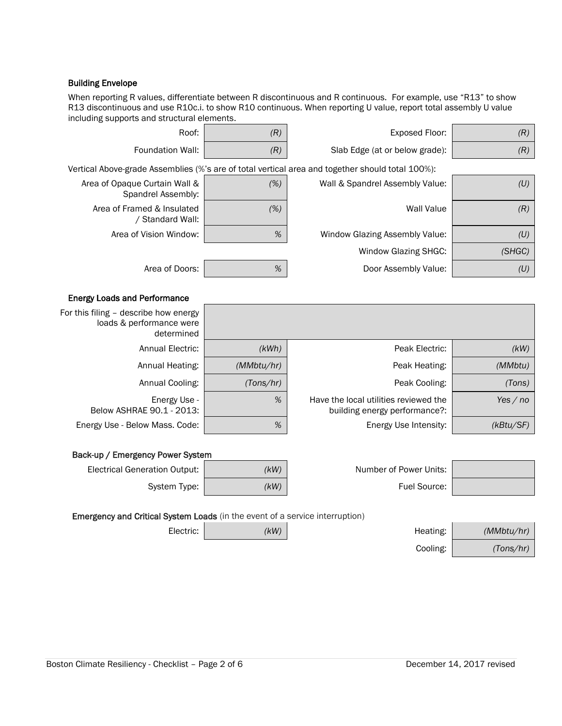#### Building Envelope

When reporting R values, differentiate between R discontinuous and R continuous. For example, use "R13" to show R13 discontinuous and use R10c.i. to show R10 continuous. When reporting U value, report total assembly U value including supports and structural elements.

| (R)                                                                                 | <b>Exposed Floor:</b>                                                                            | (R)        | Roof:                                                                           |  |  |  |
|-------------------------------------------------------------------------------------|--------------------------------------------------------------------------------------------------|------------|---------------------------------------------------------------------------------|--|--|--|
| (R)                                                                                 | Slab Edge (at or below grade):                                                                   | (R)        | Foundation Wall:                                                                |  |  |  |
|                                                                                     | Vertical Above-grade Assemblies (%'s are of total vertical area and together should total 100%): |            |                                                                                 |  |  |  |
| (U)                                                                                 | Wall & Spandrel Assembly Value:                                                                  | (%)        | Area of Opaque Curtain Wall &<br>Spandrel Assembly:                             |  |  |  |
| (R)                                                                                 | <b>Wall Value</b>                                                                                | (%)        | Area of Framed & Insulated<br>/ Standard Wall:                                  |  |  |  |
| (U)                                                                                 | Window Glazing Assembly Value:                                                                   | %          | Area of Vision Window:                                                          |  |  |  |
| (SHGC)                                                                              | Window Glazing SHGC:                                                                             |            |                                                                                 |  |  |  |
| (U)                                                                                 | Door Assembly Value:                                                                             | %          | Area of Doors:                                                                  |  |  |  |
|                                                                                     |                                                                                                  |            | <b>Energy Loads and Performance</b>                                             |  |  |  |
|                                                                                     |                                                                                                  |            | For this filing - describe how energy<br>loads & performance were<br>determined |  |  |  |
| (KW)                                                                                | Peak Electric:                                                                                   | (kWh)      | <b>Annual Electric:</b>                                                         |  |  |  |
| (MMbtu)                                                                             | Peak Heating:                                                                                    | (MMbtu/hr) | Annual Heating:                                                                 |  |  |  |
| (Tons)                                                                              | Peak Cooling:                                                                                    | (Tons/hr)  | Annual Cooling:                                                                 |  |  |  |
| Yes $/$ no                                                                          | Have the local utilities reviewed the<br>building energy performance?:                           | %          | Energy Use -<br>Below ASHRAE 90.1 - 2013:                                       |  |  |  |
| (kBtu/SF)                                                                           | Energy Use Intensity:                                                                            | %          | Energy Use - Below Mass. Code:                                                  |  |  |  |
| Back-up / Emergency Power System                                                    |                                                                                                  |            |                                                                                 |  |  |  |
|                                                                                     | Number of Power Units:                                                                           | (kW)       | <b>Electrical Generation Output:</b>                                            |  |  |  |
|                                                                                     | Fuel Source:                                                                                     | (KW)       | System Type:                                                                    |  |  |  |
| <b>Emergency and Critical System Loads</b> (in the event of a service interruption) |                                                                                                  |            |                                                                                 |  |  |  |
| (MMbtu/hr)                                                                          | Heating:                                                                                         | (KW)       | Electric:                                                                       |  |  |  |
|                                                                                     |                                                                                                  |            |                                                                                 |  |  |  |

Cooling: *(Tons/hr)*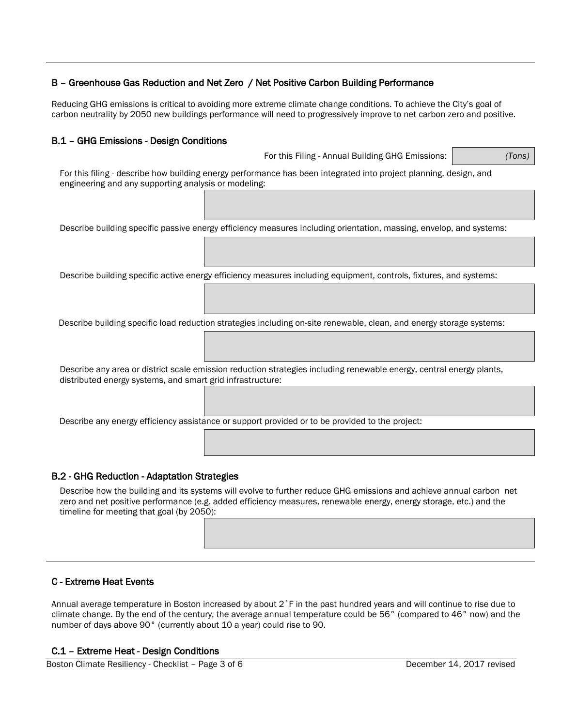### B – Greenhouse Gas Reduction and Net Zero / Net Positive Carbon Building Performance

Reducing GHG emissions is critical to avoiding more extreme climate change conditions. To achieve the City's goal of carbon neutrality by 2050 new buildings performance will need to progressively improve to net carbon zero and positive.

#### B.1 – GHG Emissions - Design Conditions

For this Filing - Annual Building GHG Emissions: *(Tons)*

For this filing - describe how building energy performance has been integrated into project planning, design, and engineering and any supporting analysis or modeling:

Describe building specific passive energy efficiency measures including orientation, massing, envelop, and systems:

Describe building specific active energy efficiency measures including equipment, controls, fixtures, and systems:

Describe building specific load reduction strategies including on-site renewable, clean, and energy storage systems:

Describe any area or district scale emission reduction strategies including renewable energy, central energy plants, distributed energy systems, and smart grid infrastructure:

Describe any energy efficiency assistance or support provided or to be provided to the project:

#### B.2 - GHG Reduction - Adaptation Strategies

Describe how the building and its systems will evolve to further reduce GHG emissions and achieve annual carbon net zero and net positive performance (e.g. added efficiency measures, renewable energy, energy storage, etc.) and the timeline for meeting that goal (by 2050):

#### C - Extreme Heat Events

Annual average temperature in Boston increased by about 2˚F in the past hundred years and will continue to rise due to climate change. By the end of the century, the average annual temperature could be 56° (compared to 46° now) and the number of days above 90° (currently about 10 a year) could rise to 90.

#### C.1 – Extreme Heat - Design Conditions

Boston Climate Resiliency - Checklist – Page 3 of 6 December 14, 2017 revised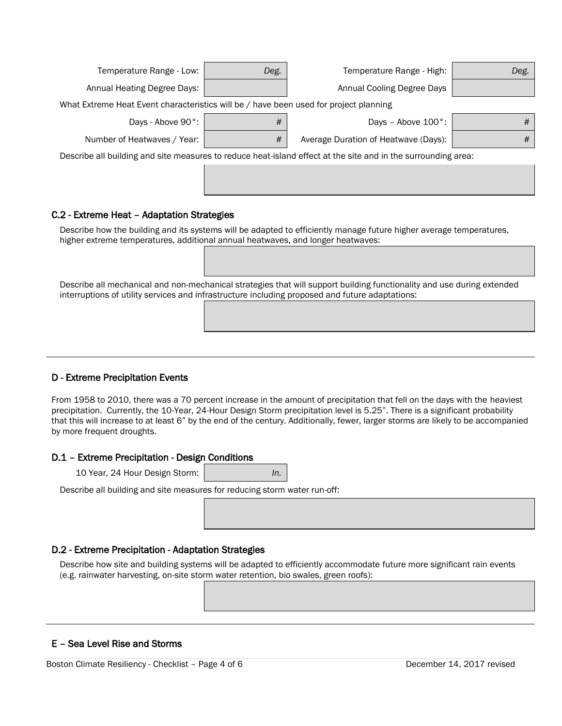| Temperature Range - Low:                                                                                      | Deg. | Temperature Range - High:            | Deg. |  |
|---------------------------------------------------------------------------------------------------------------|------|--------------------------------------|------|--|
| Annual Heating Degree Days:                                                                                   |      | Annual Cooling Degree Days           |      |  |
| What Extreme Heat Event characteristics will be / have been used for project planning                         |      |                                      |      |  |
| Days - Above 90°:                                                                                             | #    | Days - Above $100^\circ$ :           | #    |  |
| Number of Heatwaves / Year:                                                                                   | #    | Average Duration of Heatwave (Days): | #    |  |
| Describe all building and site measures to reduce heat-island effect at the site and in the surrounding area: |      |                                      |      |  |
|                                                                                                               |      |                                      |      |  |
|                                                                                                               |      |                                      |      |  |
| C.2 - Extreme Heat - Adaptation Strategies                                                                    |      |                                      |      |  |

Describe how the building and its systems will be adapted to efficiently manage future higher average temperatures, higher extreme temperatures, additional annual heatwaves, and longer heatwaves:

Describe all mechanical and non-mechanical strategies that will support building functionality and use during extended interruptions of utility services and infrastructure including proposed and future adaptations:

#### D - Extreme Precipitation Events

From 1958 to 2010, there was a 70 percent increase in the amount of precipitation that fell on the days with the heaviest precipitation. Currently, the 10-Year, 24-Hour Design Storm precipitation level is 5.25". There is a significant probability that this will increase to at least 6" by the end of the century. Additionally, fewer, larger storms are likely to be accompanied by more frequent droughts.

#### D.1 – Extreme Precipitation - Design Conditions

10 Year, 24 Hour Design Storm: *In.*

Describe all building and site measures for reducing storm water run-off:

#### D.2 - Extreme Precipitation - Adaptation Strategies

Describe how site and building systems will be adapted to efficiently accommodate future more significant rain events (e.g. rainwater harvesting, on-site storm water retention, bio swales, green roofs):

#### E – Sea Level Rise and Storms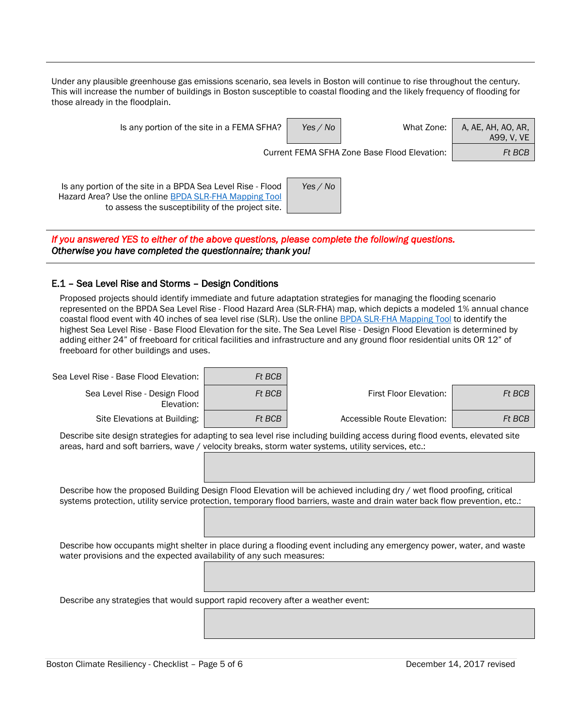Under any plausible greenhouse gas emissions scenario, sea levels in Boston will continue to rise throughout the century. This will increase the number of buildings in Boston susceptible to coastal flooding and the likely frequency of flooding for those already in the floodplain.

| Is any portion of the site in a FEMA SFHA?                                                                                                                                | Yes / No | What Zone:                                   | A, AE, AH, AO, AR,<br>A99, V, VE |
|---------------------------------------------------------------------------------------------------------------------------------------------------------------------------|----------|----------------------------------------------|----------------------------------|
|                                                                                                                                                                           |          | Current FEMA SFHA Zone Base Flood Elevation: | Ft BCB                           |
| Is any portion of the site in a BPDA Sea Level Rise - Flood<br>Hazard Area? Use the online BPDA SLR-FHA Mapping Tool<br>to assess the susceptibility of the project site. | Yes / No |                                              |                                  |

*If you answered YES to either of the above questions, please complete the following questions. Otherwise you have completed the questionnaire; thank you!*

#### E.1 – Sea Level Rise and Storms – Design Conditions

Proposed projects should identify immediate and future adaptation strategies for managing the flooding scenario represented on the BPDA Sea Level Rise - Flood Hazard Area (SLR-FHA) map, which depicts a modeled 1% annual chance coastal flood event with 40 inches of sea level rise (SLR). Use the online [BPDA SLR-FHA Mapping Tool](http://maps.bostonredevelopmentauthority.org/zoningviewer/?climate=true) to identify the highest Sea Level Rise - Base Flood Elevation for the site. The Sea Level Rise - Design Flood Elevation is determined by adding either 24" of freeboard for critical facilities and infrastructure and any ground floor residential units OR 12" of freeboard for other buildings and uses.

| Sea Level Rise - Base Flood Elevation:      | Ft BCB |                             |        |
|---------------------------------------------|--------|-----------------------------|--------|
| Sea Level Rise - Design Flood<br>Elevation: | Ft BCB | First Floor Elevation:      | Ft BCB |
| Site Elevations at Building:                | Ft BCB | Accessible Route Elevation: | Ft BCB |

Describe site design strategies for adapting to sea level rise including building access during flood events, elevated site areas, hard and soft barriers, wave / velocity breaks, storm water systems, utility services, etc.:

Describe how the proposed Building Design Flood Elevation will be achieved including dry / wet flood proofing, critical systems protection, utility service protection, temporary flood barriers, waste and drain water back flow prevention, etc.:

Describe how occupants might shelter in place during a flooding event including any emergency power, water, and waste water provisions and the expected availability of any such measures:

Describe any strategies that would support rapid recovery after a weather event: